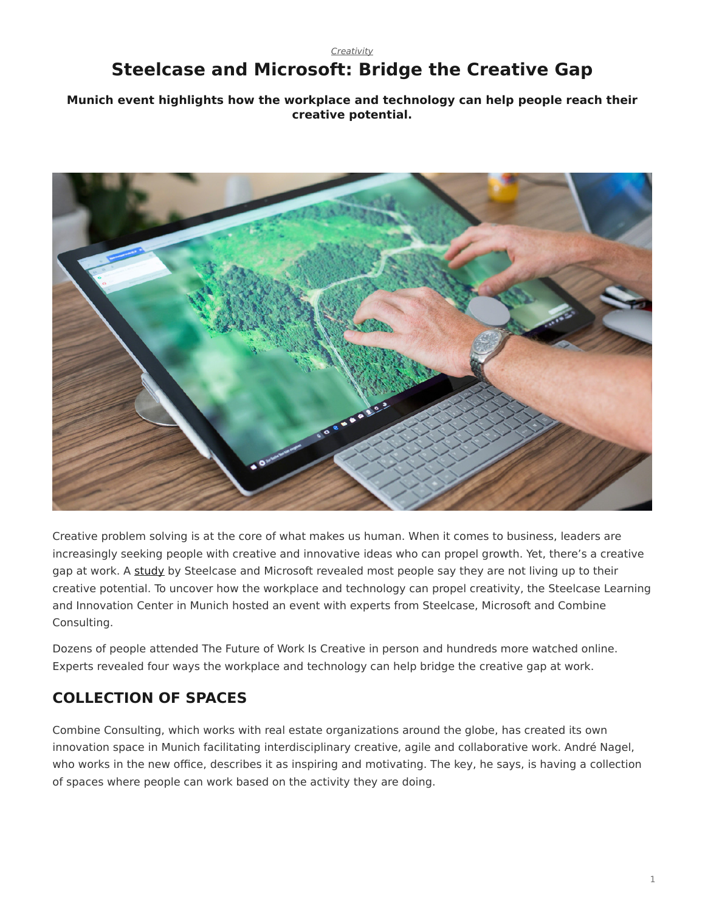#### *[Creativity](https://www.steelcase.com/research/topics/creativity/)*

# <span id="page-0-0"></span>**Steelcase and Microsoft: Bridge the Creative Gap**

**Munich event highlights how the workplace and technology can help people reach their creative potential.**



Creative problem solving is at the core of what makes us human. When it comes to business, leaders are increasingly seeking people with creative and innovative ideas who can propel growth. Yet, there's a creative gap at work. A [study](https://www.steelcase.com/research/articles/topics/technology/trends-360/) by Steelcase and Microsoft revealed most people say they are not living up to their creative potential. To uncover how the workplace and technology can propel creativity, the Steelcase Learning and Innovation Center in Munich hosted an event with experts from Steelcase, Microsoft and Combine Consulting.

Dozens of people attended The Future of Work Is Creative in person and hundreds more watched online. Experts revealed four ways the workplace and technology can help bridge the creative gap at work.

## **COLLECTION OF SPACES**

Combine Consulting, which works with real estate organizations around the globe, has created its own innovation space in Munich facilitating interdisciplinary creative, agile and collaborative work. André Nagel, who works in the new office, describes it as inspiring and motivating. The key, he says, is having a collection of spaces where people can work based on the activity they are doing.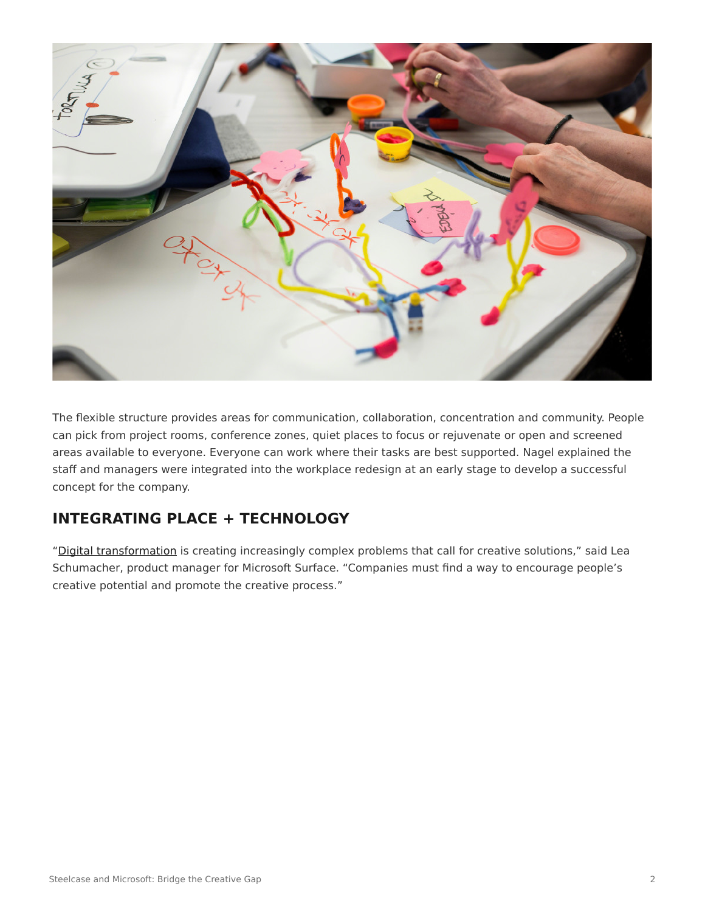

The flexible structure provides areas for communication, collaboration, concentration and community. People can pick from project rooms, conference zones, quiet places to focus or rejuvenate or open and screened areas available to everyone. Everyone can work where their tasks are best supported. Nagel explained the staff and managers were integrated into the workplace redesign at an early stage to develop a successful concept for the company.

### **INTEGRATING PLACE + TECHNOLOGY**

"[Digital transformation](https://www.steelcase.com/research/articles/topics/technology/race-digitize/) is creating increasingly complex problems that call for creative solutions," said Lea Schumacher, product manager for Microsoft Surface. "Companies must find a way to encourage people's creative potential and promote the creative process."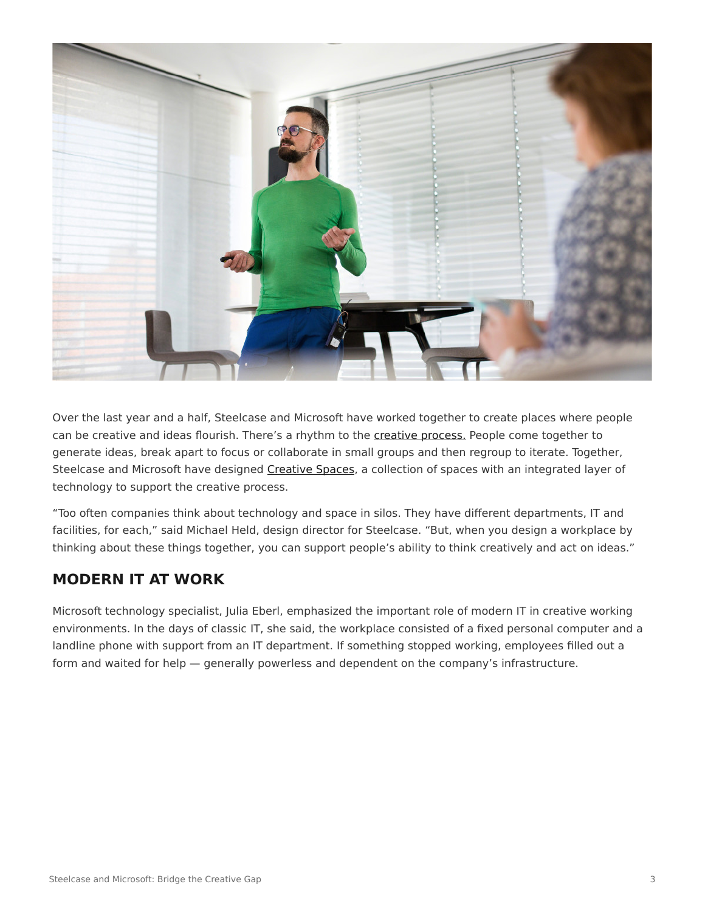

Over the last year and a half, Steelcase and Microsoft have worked together to create places where people can be creative and ideas flourish. There's a rhythm to the [creative process.](https://www.steelcase.com/research/articles/topics/creativity/creative-shift/) People come together to generate ideas, break apart to focus or collaborate in small groups and then regroup to iterate. Together, Steelcase and Microsoft have designed [Creative Spaces](https://www.steelcase.com/microsoft-steelcase/creativity/), a collection of spaces with an integrated layer of technology to support the creative process.

"Too often companies think about technology and space in silos. They have different departments, IT and facilities, for each," said Michael Held, design director for Steelcase. "But, when you design a workplace by thinking about these things together, you can support people's ability to think creatively and act on ideas."

#### **MODERN IT AT WORK**

Microsoft technology specialist, Julia Eberl, emphasized the important role of modern IT in creative working environments. In the days of classic IT, she said, the workplace consisted of a fixed personal computer and a landline phone with support from an IT department. If something stopped working, employees filled out a form and waited for help — generally powerless and dependent on the company's infrastructure.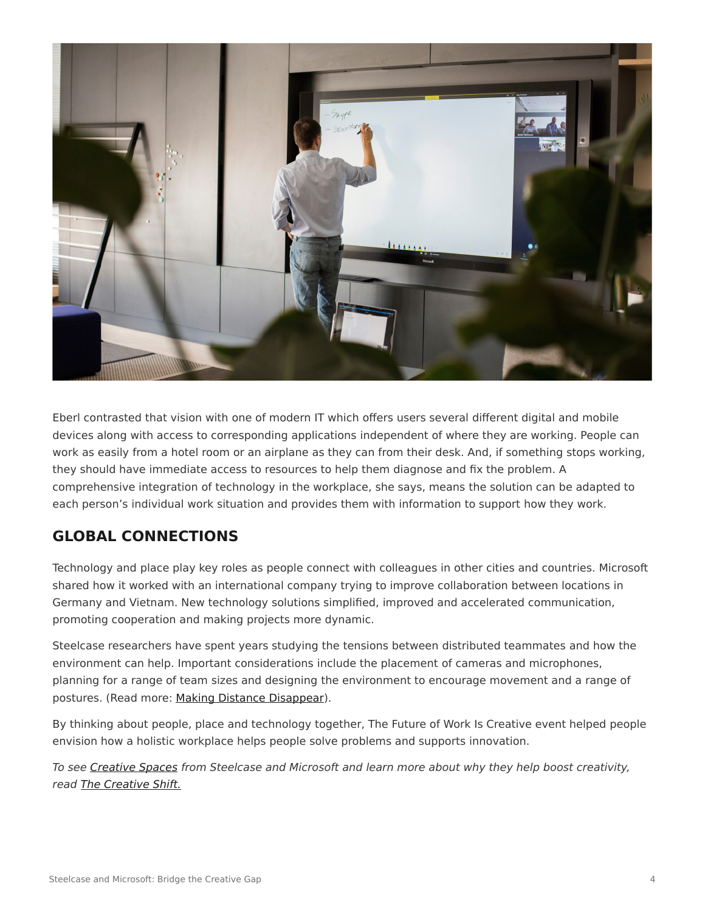

Eberl contrasted that vision with one of modern IT which offers users several different digital and mobile devices along with access to corresponding applications independent of where they are working. People can work as easily from a hotel room or an airplane as they can from their desk. And, if something stops working, they should have immediate access to resources to help them diagnose and fix the problem. A comprehensive integration of technology in the workplace, she says, means the solution can be adapted to each person's individual work situation and provides them with information to support how they work.

### **GLOBAL CONNECTIONS**

Technology and place play key roles as people connect with colleagues in other cities and countries. Microsoft shared how it worked with an international company trying to improve collaboration between locations in Germany and Vietnam. New technology solutions simplified, improved and accelerated communication, promoting cooperation and making projects more dynamic.

Steelcase researchers have spent years studying the tensions between distributed teammates and how the environment can help. Important considerations include the placement of cameras and microphones, planning for a range of team sizes and designing the environment to encourage movement and a range of postures. (Read more: [Making Distance Disappear](https://www.steelcase.com/research/articles/topics/distributed-teams/making-distance-disappear/)).

By thinking about people, place and technology together, The Future of Work Is Creative event helped people envision how a holistic workplace helps people solve problems and supports innovation.

*To see [Creative Spaces](https://www.steelcase.com/microsoft-steelcase/creativity/) from Steelcase and Microsoft and learn more about why they help boost creativity, read [The Creative Shift.](https://www.steelcase.com/research/articles/topics/creativity/creative-shift/)*